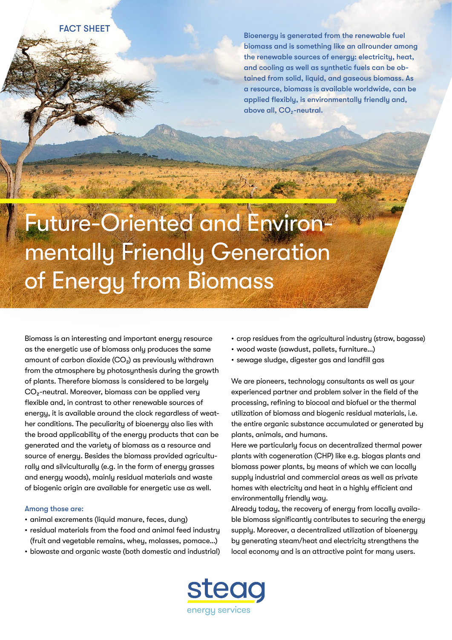FACT SHEET

Bioenergy is generated from the renewable fuel biomass and is something like an allrounder among the renewable sources of energy: electricity, heat, and cooling as well as synthetic fuels can be obtained from solid, liquid, and gaseous biomass. As a resource, biomass is available worldwide, can be applied flexibly, is environmentally friendly and, above all, CO<sub>2</sub>-neutral.

Future-Oriented and Environmentally Friendly Generation of Energy from Biomass

Biomass is an interesting and important energy resource as the energetic use of biomass only produces the same amount of carbon dioxide  $(CO<sub>2</sub>)$  as previously withdrawn from the atmosphere by photosynthesis during the growth of plants. Therefore biomass is considered to be largely CO<sub>2</sub>-neutral. Moreover, biomass can be applied very flexible and, in contrast to other renewable sources of energy, it is available around the clock regardless of weather conditions. The peculiarity of bioenergy also lies with the broad applicability of the energy products that can be generated and the variety of biomass as a resource and source of energy. Besides the biomass provided agriculturally and silviculturally (e.g. in the form of energy grasses and energy woods), mainly residual materials and waste of biogenic origin are available for energetic use as well.

## Among those are:

- animal excrements (liquid manure, feces, dung)
- residual materials from the food and animal feed industry (fruit and vegetable remains, whey, molasses, pomace…)
- biowaste and organic waste (both domestic and industrial)
- crop residues from the agricultural industry (straw, bagasse)
- wood waste (sawdust, pallets, furniture…)
- sewage sludge, digester gas and landfill gas

We are pioneers, technology consultants as well as your experienced partner and problem solver in the field of the processing, refining to biocoal and biofuel or the thermal utilization of biomass and biogenic residual materials, i.e. the entire organic substance accumulated or generated by plants, animals, and humans.

Here we particularly focus on decentralized thermal power plants with cogeneration (CHP) like e.g. biogas plants and biomass power plants, by means of which we can locally supply industrial and commercial areas as well as private homes with electricity and heat in a highly efficient and environmentally friendly way.

Already today, the recovery of energy from locally available biomass significantly contributes to securing the energy supply. Moreover, a decentralized utilization of bioenergy by generating steam/heat and electricity strengthens the local economy and is an attractive point for many users.